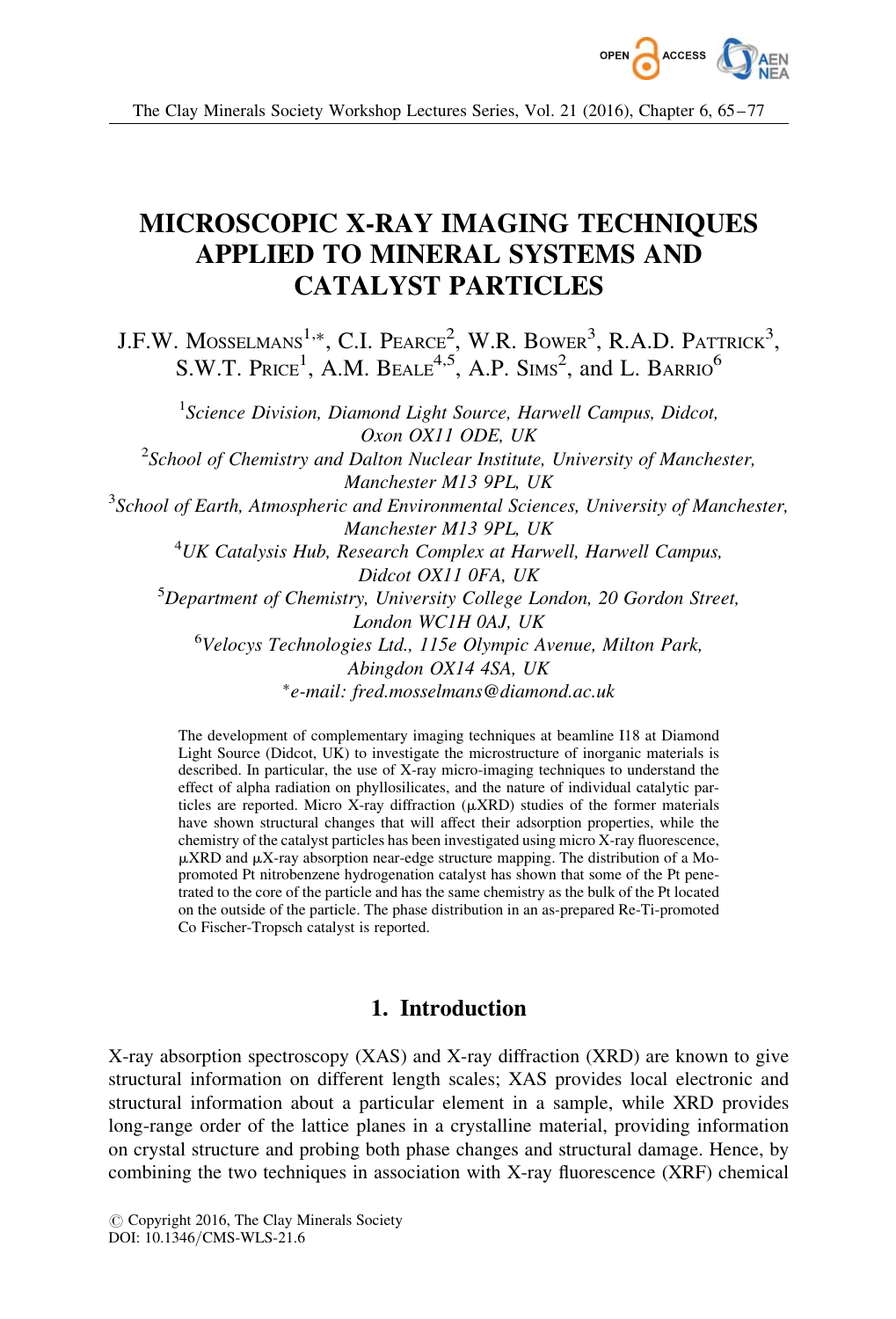

# MICROSCOPIC X-RAY IMAGING TECHNIQUES APPLIED TO MINERAL SYSTEMS AND CATALYST PARTICLES

J.F.W. MOSSELMANS<sup>1,\*</sup>, C.I. Pearce<sup>2</sup>, W.R. Bower<sup>3</sup>, R.A.D. Pattrick<sup>3</sup>, S.W.T. PRICE<sup>1</sup>, A.M. BEALE<sup>4,5</sup>, A.P. SIMS<sup>2</sup>, and L. BARRIO<sup>6</sup>

<sup>1</sup>Science Division, Diamond Light Source, Harwell Campus, Didcot, Oxon OX11 ODE, UK  $^{2}$ School of Chemistry and Dalton Nuclear Institute, University of Manchester, Manchester M13 9PL, UK  $3$ School of Earth, Atmospheric and Environmental Sciences, University of Manchester, Manchester M13 9PL, UK <sup>4</sup>UK Catalysis Hub, Research Complex at Harwell, Harwell Campus, Didcot OX11 0FA, UK <sup>5</sup>Department of Chemistry, University College London, 20 Gordon Street, London WC1H 0AJ, UK <sup>6</sup>Velocys Technologies Ltd., 115e Olympic Avenue, Milton Park, Abingdon OX14 4SA, UK -e-mail: fred.mosselmans@diamond.ac.uk

The development of complementary imaging techniques at beamline I18 at Diamond Light Source (Didcot, UK) to investigate the microstructure of inorganic materials is described. In particular, the use of X-ray micro-imaging techniques to understand the effect of alpha radiation on phyllosilicates, and the nature of individual catalytic particles are reported. Micro X-ray diffraction  $(\mu XRD)$  studies of the former materials have shown structural changes that will affect their adsorption properties, while the chemistry of the catalyst particles has been investigated using micro X-ray fluorescence,  $\mu$ XRD and  $\mu$ X-ray absorption near-edge structure mapping. The distribution of a Mopromoted Pt nitrobenzene hydrogenation catalyst has shown that some of the Pt penetrated to the core of the particle and has the same chemistry as the bulk of the Pt located on the outside of the particle. The phase distribution in an as-prepared Re-Ti-promoted Co Fischer-Tropsch catalyst is reported.

# 1. Introduction

X-ray absorption spectroscopy (XAS) and X-ray diffraction (XRD) are known to give structural information on different length scales; XAS provides local electronic and structural information about a particular element in a sample, while XRD provides long-range order of the lattice planes in a crystalline material, providing information on crystal structure and probing both phase changes and structural damage. Hence, by combining the two techniques in association with X-ray fluorescence (XRF) chemical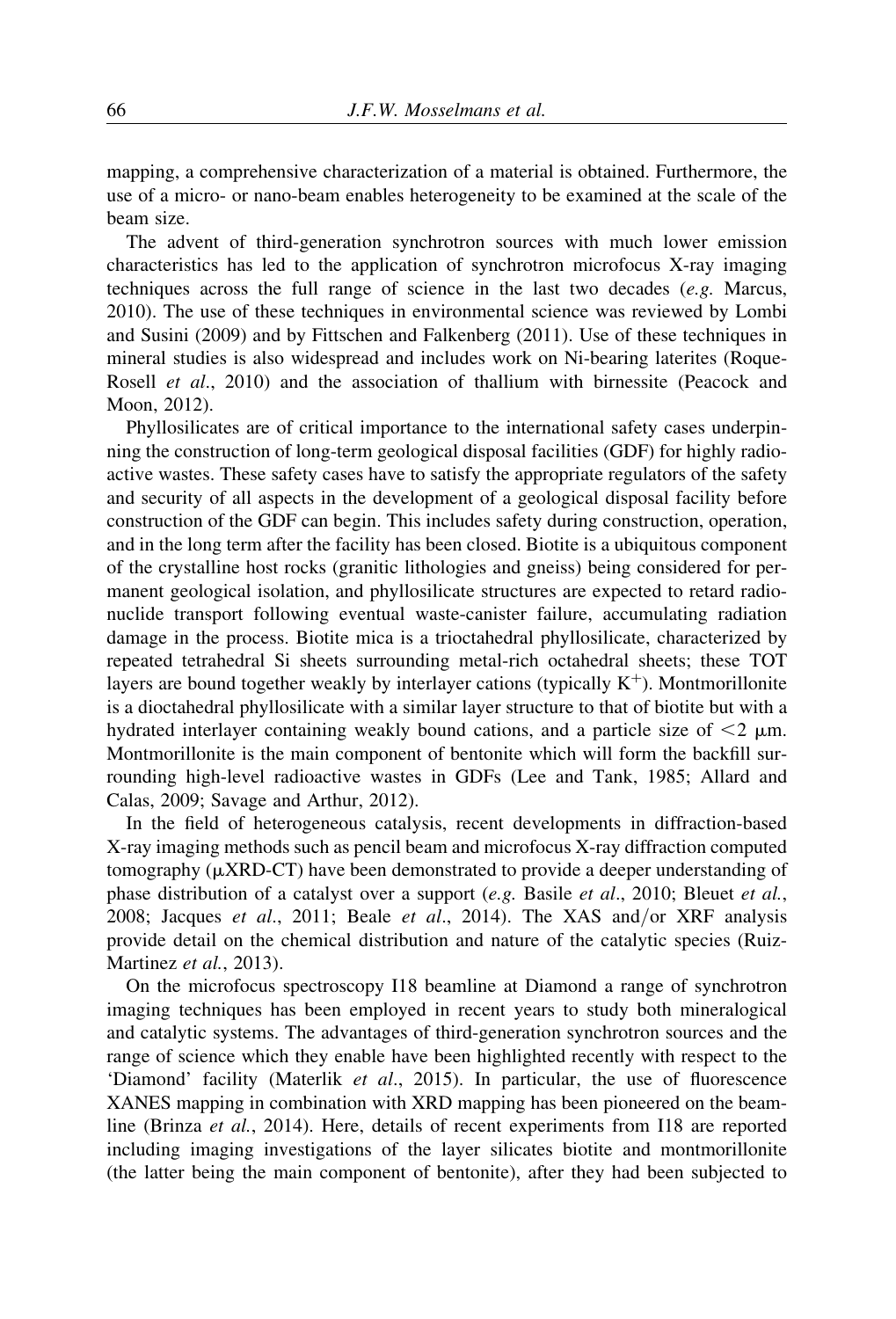mapping, a comprehensive characterization of a material is obtained. Furthermore, the use of a micro- or nano-beam enables heterogeneity to be examined at the scale of the beam size.

The advent of third-generation synchrotron sources with much lower emission characteristics has led to the application of synchrotron microfocus X-ray imaging techniques across the full range of science in the last two decades (e.g. Marcus, 2010). The use of these techniques in environmental science was reviewed by Lombi and Susini (2009) and by Fittschen and Falkenberg (2011). Use of these techniques in mineral studies is also widespread and includes work on Ni-bearing laterites (Roque-Rosell et al., 2010) and the association of thallium with birnessite (Peacock and Moon, 2012).

Phyllosilicates are of critical importance to the international safety cases underpinning the construction of long-term geological disposal facilities (GDF) for highly radioactive wastes. These safety cases have to satisfy the appropriate regulators of the safety and security of all aspects in the development of a geological disposal facility before construction of the GDF can begin. This includes safety during construction, operation, and in the long term after the facility has been closed. Biotite is a ubiquitous component of the crystalline host rocks (granitic lithologies and gneiss) being considered for permanent geological isolation, and phyllosilicate structures are expected to retard radionuclide transport following eventual waste-canister failure, accumulating radiation damage in the process. Biotite mica is a trioctahedral phyllosilicate, characterized by repeated tetrahedral Si sheets surrounding metal-rich octahedral sheets; these TOT layers are bound together weakly by interlayer cations (typically  $K^+$ ). Montmorillonite is a dioctahedral phyllosilicate with a similar layer structure to that of biotite but with a hydrated interlayer containing weakly bound cations, and a particle size of  $\leq 2 \mu m$ . Montmorillonite is the main component of bentonite which will form the backfill surrounding high-level radioactive wastes in GDFs (Lee and Tank, 1985; Allard and Calas, 2009; Savage and Arthur, 2012).

In the field of heterogeneous catalysis, recent developments in diffraction-based X-ray imaging methods such as pencil beam and microfocus X-ray diffraction computed tomography ( $\mu$ XRD-CT) have been demonstrated to provide a deeper understanding of phase distribution of a catalyst over a support  $(e.g.$  Basile *et al.*, 2010; Bleuet *et al.*, 2008; Jacques et al., 2011; Beale et al., 2014). The XAS and/or XRF analysis provide detail on the chemical distribution and nature of the catalytic species (Ruiz-Martinez et al., 2013).

On the microfocus spectroscopy I18 beamline at Diamond a range of synchrotron imaging techniques has been employed in recent years to study both mineralogical and catalytic systems. The advantages of third-generation synchrotron sources and the range of science which they enable have been highlighted recently with respect to the 'Diamond' facility (Materlik et al., 2015). In particular, the use of fluorescence XANES mapping in combination with XRD mapping has been pioneered on the beamline (Brinza et al., 2014). Here, details of recent experiments from I18 are reported including imaging investigations of the layer silicates biotite and montmorillonite (the latter being the main component of bentonite), after they had been subjected to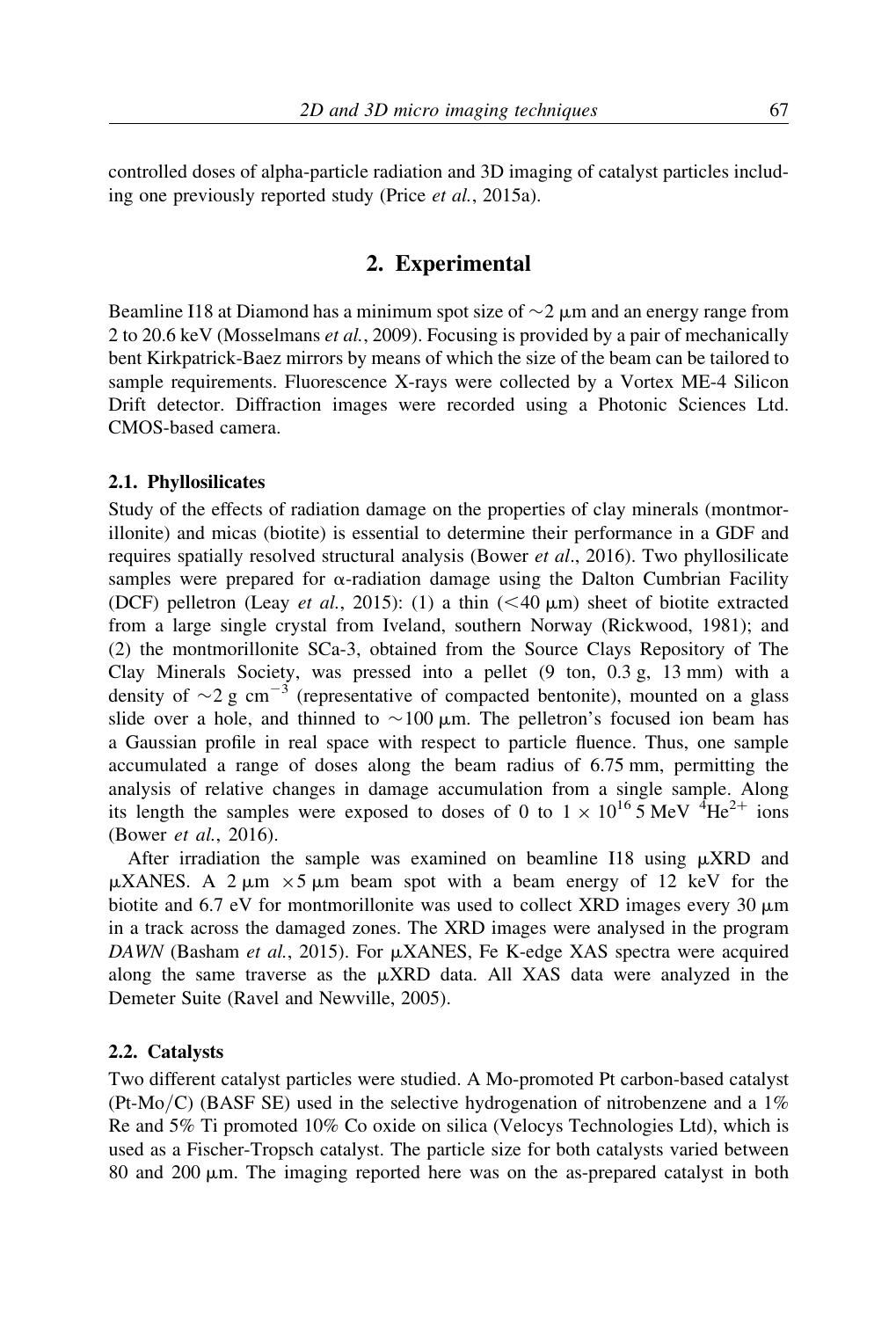controlled doses of alpha-particle radiation and 3D imaging of catalyst particles including one previously reported study (Price et al., 2015a).

# 2. Experimental

Beamline I18 at Diamond has a minimum spot size of  $\sim$  2  $\mu$ m and an energy range from 2 to 20.6 keV (Mosselmans et al., 2009). Focusing is provided by a pair of mechanically bent Kirkpatrick-Baez mirrors by means of which the size of the beam can be tailored to sample requirements. Fluorescence X-rays were collected by a Vortex ME-4 Silicon Drift detector. Diffraction images were recorded using a Photonic Sciences Ltd. CMOS-based camera.

#### 2.1. Phyllosilicates

Study of the effects of radiation damage on the properties of clay minerals (montmorillonite) and micas (biotite) is essential to determine their performance in a GDF and requires spatially resolved structural analysis (Bower et al., 2016). Two phyllosilicate samples were prepared for  $\alpha$ -radiation damage using the Dalton Cumbrian Facility (DCF) pelletron (Leay *et al.*, 2015): (1) a thin  $( $40 \mu m$ )$  sheet of biotite extracted from a large single crystal from Iveland, southern Norway (Rickwood, 1981); and (2) the montmorillonite SCa-3, obtained from the Source Clays Repository of The Clay Minerals Society, was pressed into a pellet (9 ton, 0.3 g, 13 mm) with a density of  $\sim$ 2 g cm<sup>-3</sup> (representative of compacted bentonite), mounted on a glass slide over a hole, and thinned to  $\sim$ 100  $\mu$ m. The pelletron's focused ion beam has a Gaussian profile in real space with respect to particle fluence. Thus, one sample accumulated a range of doses along the beam radius of 6.75 mm, permitting the analysis of relative changes in damage accumulation from a single sample. Along its length the samples were exposed to doses of 0 to  $1 \times 10^{16}$  5 MeV  $^{4}$ He<sup>2+</sup> ions (Bower et al., 2016).

After irradiation the sample was examined on beamline I18 using  $\mu$ XRD and  $\mu$ XANES. A 2  $\mu$ m  $\times$ 5  $\mu$ m beam spot with a beam energy of 12 keV for the biotite and 6.7 eV for montmorillonite was used to collect XRD images every 30  $\mu$ m in a track across the damaged zones. The XRD images were analysed in the program DAWN (Basham et al., 2015). For  $\mu$ XANES, Fe K-edge XAS spectra were acquired along the same traverse as the  $\mu$ XRD data. All XAS data were analyzed in the Demeter Suite (Ravel and Newville, 2005).

## 2.2. Catalysts

Two different catalyst particles were studied. A Mo-promoted Pt carbon-based catalyst (Pt-Mo/C) (BASF SE) used in the selective hydrogenation of nitrobenzene and a  $1\%$ Re and 5% Ti promoted 10% Co oxide on silica (Velocys Technologies Ltd), which is used as a Fischer-Tropsch catalyst. The particle size for both catalysts varied between 80 and 200  $\mu$ m. The imaging reported here was on the as-prepared catalyst in both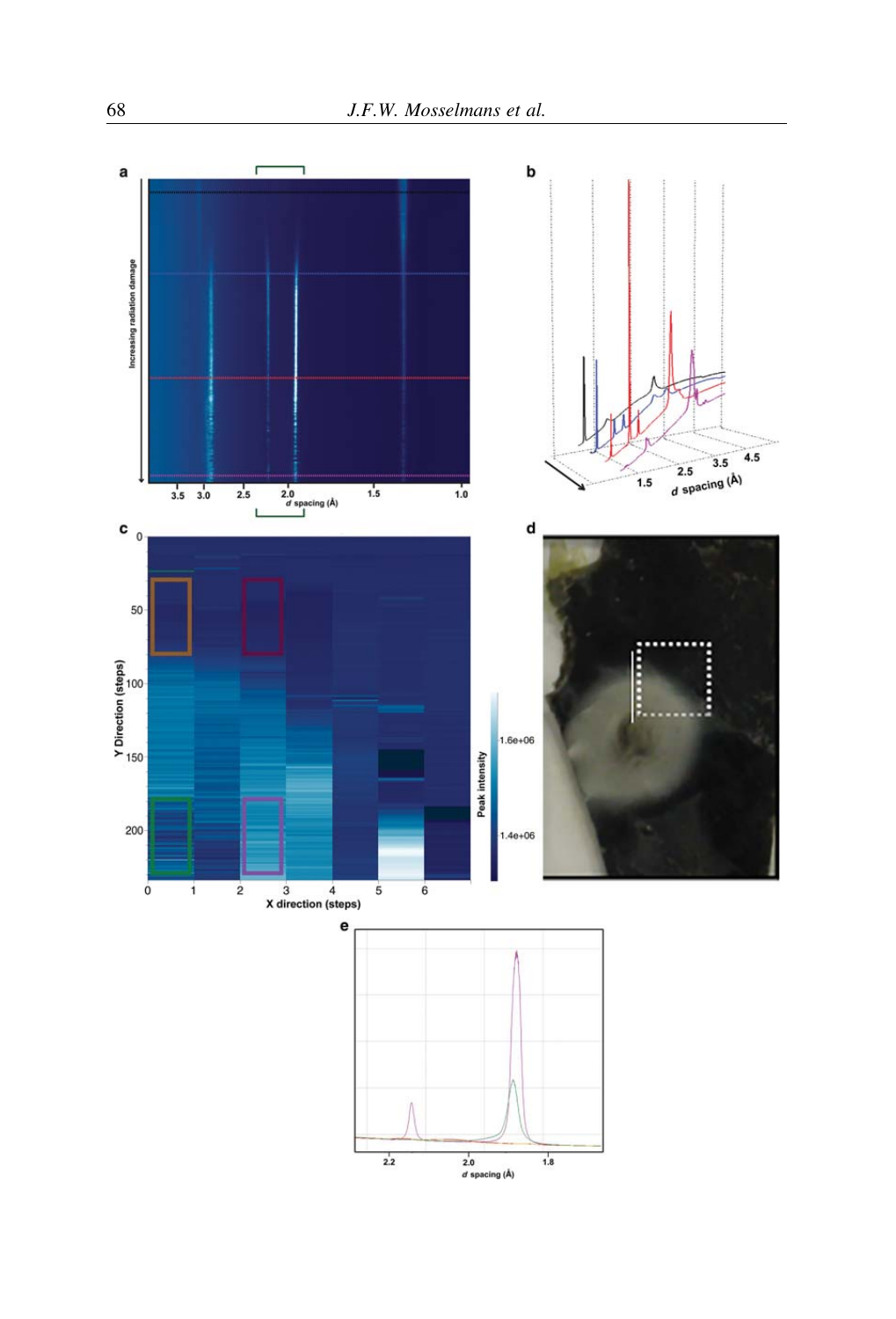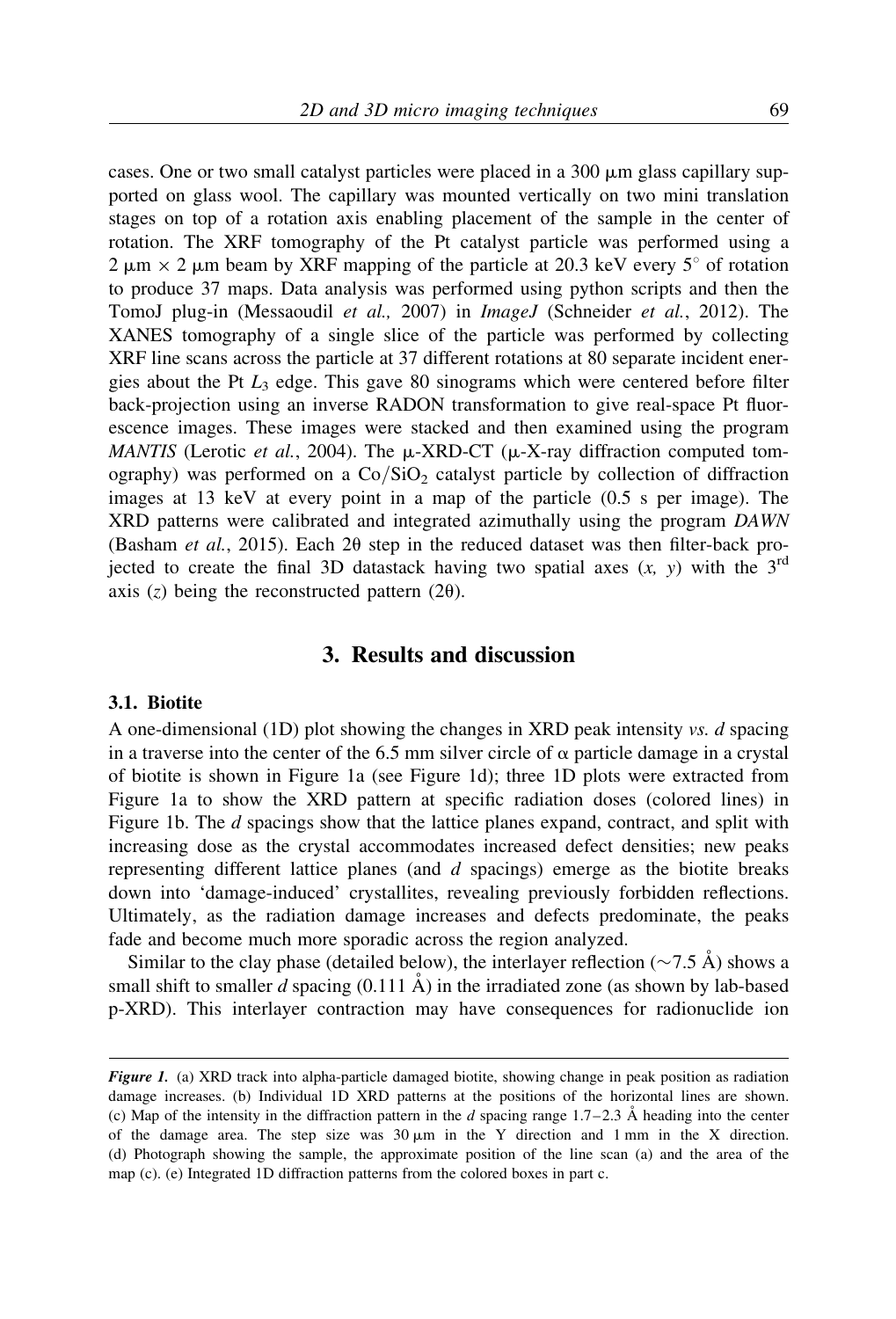cases. One or two small catalyst particles were placed in a  $300 \mu m$  glass capillary supported on glass wool. The capillary was mounted vertically on two mini translation stages on top of a rotation axis enabling placement of the sample in the center of rotation. The XRF tomography of the Pt catalyst particle was performed using a  $2 \mu m \times 2 \mu m$  beam by XRF mapping of the particle at 20.3 keV every 5° of rotation to produce 37 maps. Data analysis was performed using python scripts and then the TomoJ plug-in (Messaoudil et al., 2007) in ImageJ (Schneider et al., 2012). The XANES tomography of a single slice of the particle was performed by collecting XRF line scans across the particle at 37 different rotations at 80 separate incident energies about the Pt  $L_3$  edge. This gave 80 sinograms which were centered before filter back-projection using an inverse RADON transformation to give real-space Pt fluorescence images. These images were stacked and then examined using the program MANTIS (Lerotic et al., 2004). The  $\mu$ -XRD-CT ( $\mu$ -X-ray diffraction computed tomography) was performed on a  $Co/SiO<sub>2</sub>$  catalyst particle by collection of diffraction images at 13 keV at every point in a map of the particle (0.5 s per image). The XRD patterns were calibrated and integrated azimuthally using the program DAWN (Basham *et al.*, 2015). Each 2 $\theta$  step in the reduced dataset was then filter-back projected to create the final 3D datastack having two spatial axes  $(x, y)$  with the 3<sup>rd</sup> axis (z) being the reconstructed pattern (2 $\theta$ ).

# 3. Results and discussion

#### 3.1. Biotite

A one-dimensional (1D) plot showing the changes in XRD peak intensity vs. d spacing in a traverse into the center of the 6.5 mm silver circle of  $\alpha$  particle damage in a crystal of biotite is shown in Figure 1a (see Figure 1d); three 1D plots were extracted from Figure 1a to show the XRD pattern at specific radiation doses (colored lines) in Figure 1b. The d spacings show that the lattice planes expand, contract, and split with increasing dose as the crystal accommodates increased defect densities; new peaks representing different lattice planes (and d spacings) emerge as the biotite breaks down into 'damage-induced' crystallites, revealing previously forbidden reflections. Ultimately, as the radiation damage increases and defects predominate, the peaks fade and become much more sporadic across the region analyzed.

Similar to the clay phase (detailed below), the interlayer reflection ( $\sim$  7.5 Å) shows a small shift to smaller d spacing  $(0.111 \text{ A})$  in the irradiated zone (as shown by lab-based p-XRD). This interlayer contraction may have consequences for radionuclide ion

Figure 1. (a) XRD track into alpha-particle damaged biotite, showing change in peak position as radiation damage increases. (b) Individual 1D XRD patterns at the positions of the horizontal lines are shown. (c) Map of the intensity in the diffraction pattern in the d spacing range  $1.7-2.3$  Å heading into the center of the damage area. The step size was  $30 \mu m$  in the Y direction and 1 mm in the X direction. (d) Photograph showing the sample, the approximate position of the line scan (a) and the area of the map (c). (e) Integrated 1D diffraction patterns from the colored boxes in part c.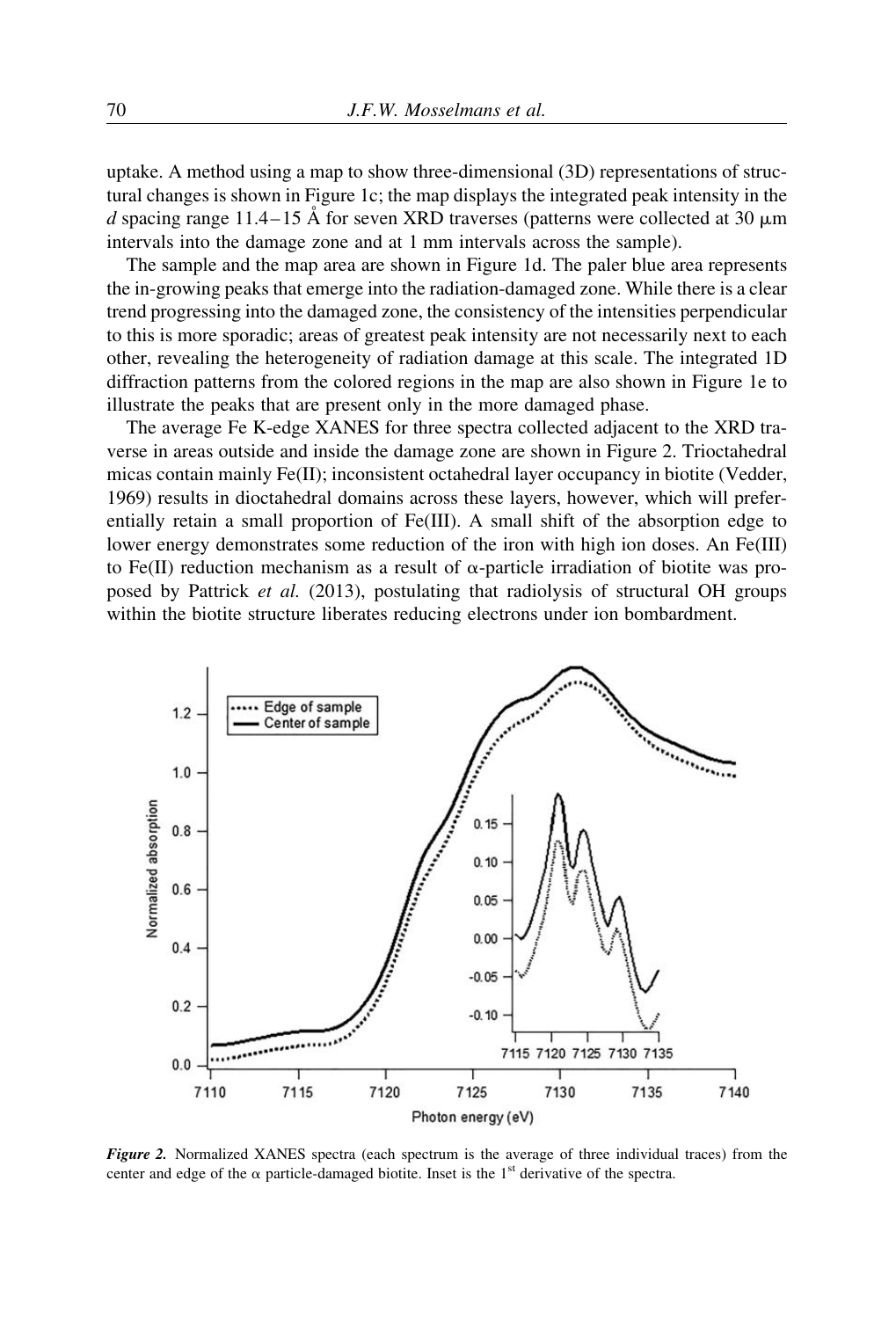uptake. A method using a map to show three-dimensional (3D) representations of structural changes is shown in Figure 1c; the map displays the integrated peak intensity in the d spacing range 11.4–15 Å for seven XRD traverses (patterns were collected at 30  $\mu$ m intervals into the damage zone and at 1 mm intervals across the sample).

The sample and the map area are shown in Figure 1d. The paler blue area represents the in-growing peaks that emerge into the radiation-damaged zone. While there is a clear trend progressing into the damaged zone, the consistency of the intensities perpendicular to this is more sporadic; areas of greatest peak intensity are not necessarily next to each other, revealing the heterogeneity of radiation damage at this scale. The integrated 1D diffraction patterns from the colored regions in the map are also shown in Figure 1e to illustrate the peaks that are present only in the more damaged phase.

The average Fe K-edge XANES for three spectra collected adjacent to the XRD traverse in areas outside and inside the damage zone are shown in Figure 2. Trioctahedral micas contain mainly Fe(II); inconsistent octahedral layer occupancy in biotite (Vedder, 1969) results in dioctahedral domains across these layers, however, which will preferentially retain a small proportion of  $Fe(III)$ . A small shift of the absorption edge to lower energy demonstrates some reduction of the iron with high ion doses. An Fe(III) to Fe(II) reduction mechanism as a result of a-particle irradiation of biotite was proposed by Pattrick et al. (2013), postulating that radiolysis of structural OH groups within the biotite structure liberates reducing electrons under ion bombardment.



Figure 2. Normalized XANES spectra (each spectrum is the average of three individual traces) from the center and edge of the  $\alpha$  particle-damaged biotite. Inset is the 1<sup>st</sup> derivative of the spectra.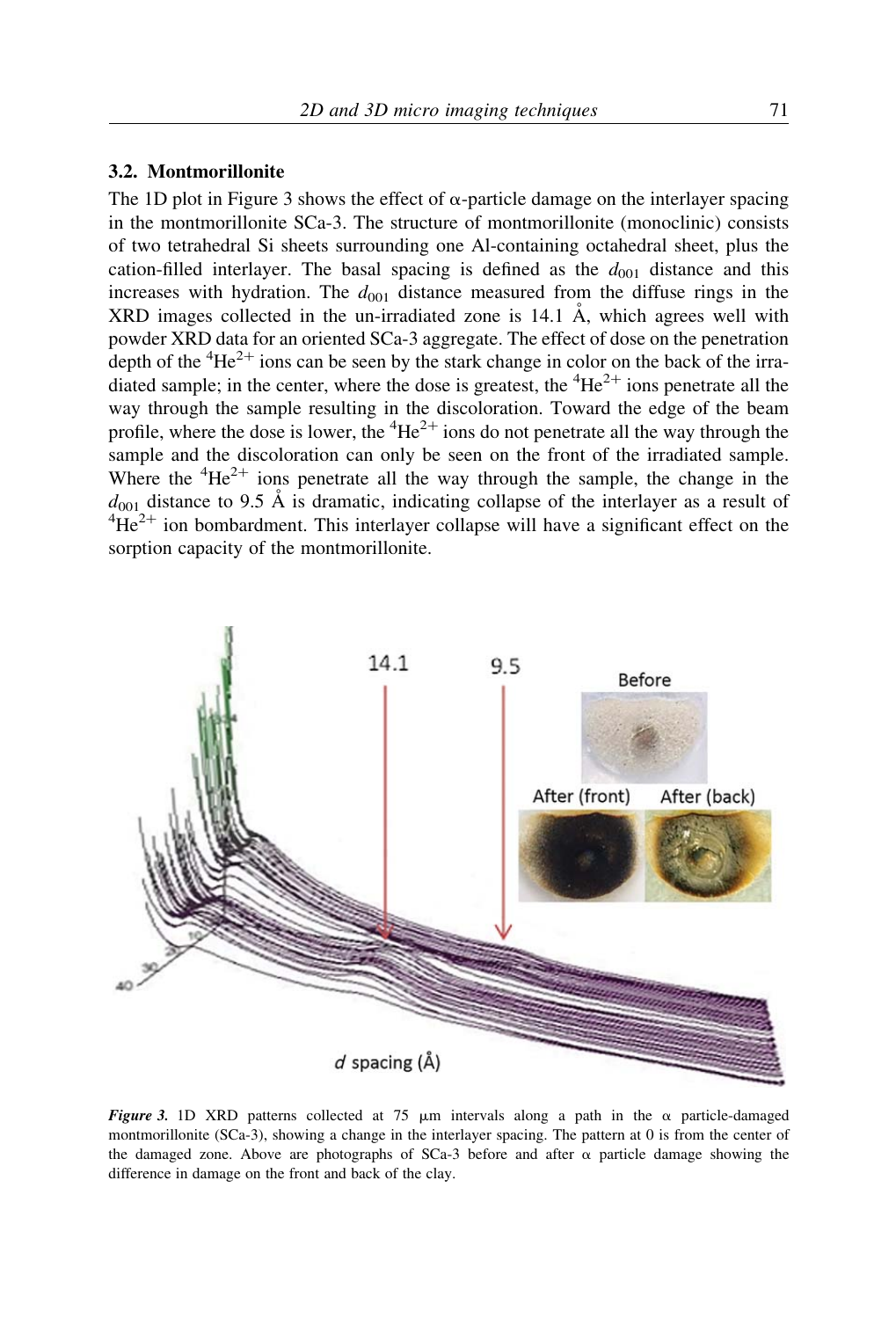#### 3.2. Montmorillonite

The 1D plot in Figure 3 shows the effect of  $\alpha$ -particle damage on the interlayer spacing in the montmorillonite SCa-3. The structure of montmorillonite (monoclinic) consists of two tetrahedral Si sheets surrounding one Al-containing octahedral sheet, plus the cation-filled interlayer. The basal spacing is defined as the  $d_{001}$  distance and this increases with hydration. The  $d_{001}$  distance measured from the diffuse rings in the XRD images collected in the un-irradiated zone is  $14.1 \text{ Å}$ , which agrees well with powder XRD data for an oriented SCa-3 aggregate. The effect of dose on the penetration depth of the  ${}^{4}He^{2+}$  ions can be seen by the stark change in color on the back of the irradiated sample; in the center, where the dose is greatest, the  ${}^{4}He^{2+}$  ions penetrate all the way through the sample resulting in the discoloration. Toward the edge of the beam profile, where the dose is lower, the  ${}^{4}He^{2+}$  ions do not penetrate all the way through the sample and the discoloration can only be seen on the front of the irradiated sample. Where the  ${}^{4}He^{2+}$  ions penetrate all the way through the sample, the change in the  $d_{001}$  distance to 9.5 Å is dramatic, indicating collapse of the interlayer as a result of  ${}^{4}$ He<sup>2+</sup> ion bombardment. This interlayer collapse will have a significant effect on the sorption capacity of the montmorillonite.



Figure 3. 1D XRD patterns collected at 75  $\mu$ m intervals along a path in the  $\alpha$  particle-damaged montmorillonite (SCa-3), showing a change in the interlayer spacing. The pattern at 0 is from the center of the damaged zone. Above are photographs of SCa-3 before and after  $\alpha$  particle damage showing the difference in damage on the front and back of the clay.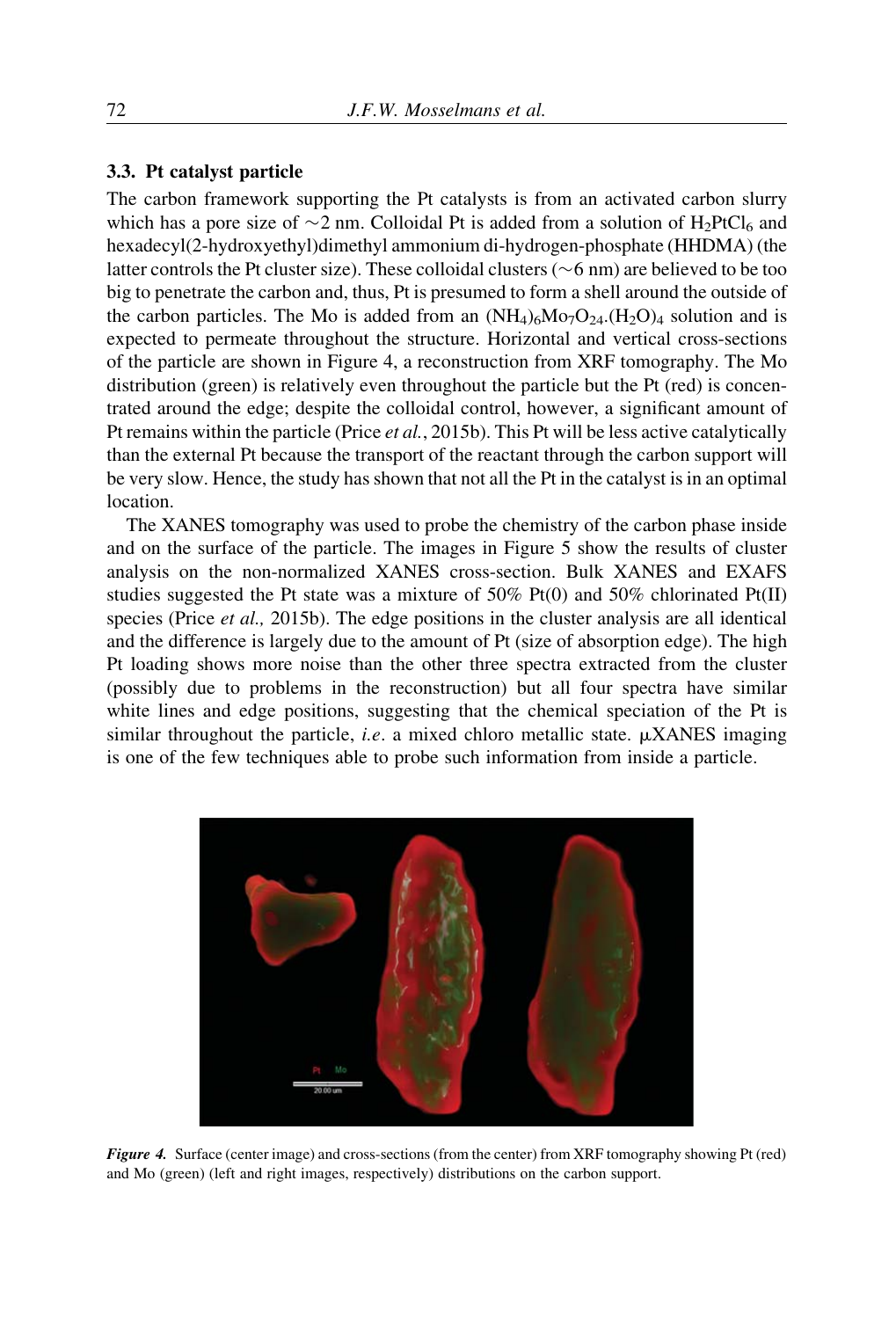#### 3.3. Pt catalyst particle

The carbon framework supporting the Pt catalysts is from an activated carbon slurry which has a pore size of  $\sim$  2 nm. Colloidal Pt is added from a solution of H<sub>2</sub>PtCl<sub>6</sub> and hexadecyl(2-hydroxyethyl)dimethyl ammonium di-hydrogen-phosphate (HHDMA) (the latter controls the Pt cluster size). These colloidal clusters ( $\sim$ 6 nm) are believed to be too big to penetrate the carbon and, thus, Pt is presumed to form a shell around the outside of the carbon particles. The Mo is added from an  $(NH_4)_{6}M_2O_{24}.(H_2O)_4$  solution and is expected to permeate throughout the structure. Horizontal and vertical cross-sections of the particle are shown in Figure 4, a reconstruction from XRF tomography. The Mo distribution (green) is relatively even throughout the particle but the Pt (red) is concentrated around the edge; despite the colloidal control, however, a significant amount of Pt remains within the particle (Price et al., 2015b). This Pt will be less active catalytically than the external Pt because the transport of the reactant through the carbon support will be very slow. Hence, the study has shown that not all the Pt in the catalyst is in an optimal location.

The XANES tomography was used to probe the chemistry of the carbon phase inside and on the surface of the particle. The images in Figure 5 show the results of cluster analysis on the non-normalized XANES cross-section. Bulk XANES and EXAFS studies suggested the Pt state was a mixture of 50% Pt(0) and 50% chlorinated Pt(II) species (Price et al., 2015b). The edge positions in the cluster analysis are all identical and the difference is largely due to the amount of Pt (size of absorption edge). The high Pt loading shows more noise than the other three spectra extracted from the cluster (possibly due to problems in the reconstruction) but all four spectra have similar white lines and edge positions, suggesting that the chemical speciation of the Pt is similar throughout the particle, *i.e.* a mixed chloro metallic state.  $\mu$ XANES imaging is one of the few techniques able to probe such information from inside a particle.



Figure 4. Surface (center image) and cross-sections (from the center) from XRF tomography showing Pt (red) and Mo (green) (left and right images, respectively) distributions on the carbon support.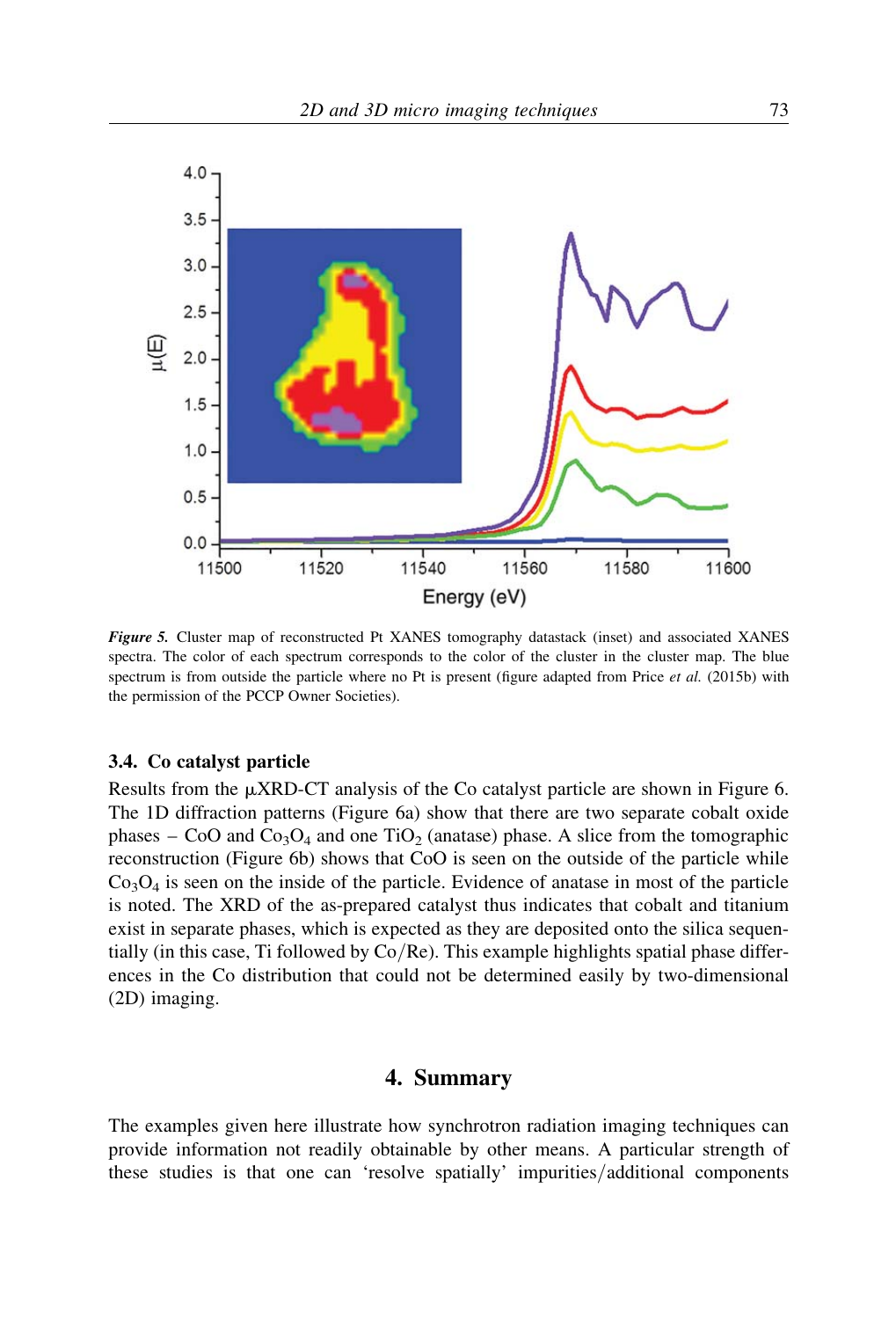

Figure 5. Cluster map of reconstructed Pt XANES tomography datastack (inset) and associated XANES spectra. The color of each spectrum corresponds to the color of the cluster in the cluster map. The blue spectrum is from outside the particle where no Pt is present (figure adapted from Price et al. (2015b) with the permission of the PCCP Owner Societies).

#### 3.4. Co catalyst particle

Results from the  $\mu$ XRD-CT analysis of the Co catalyst particle are shown in Figure 6. The 1D diffraction patterns (Figure 6a) show that there are two separate cobalt oxide phases – CoO and  $Co<sub>3</sub>O<sub>4</sub>$  and one TiO<sub>2</sub> (anatase) phase. A slice from the tomographic reconstruction (Figure 6b) shows that CoO is seen on the outside of the particle while  $Co<sub>3</sub>O<sub>4</sub>$  is seen on the inside of the particle. Evidence of anatase in most of the particle is noted. The XRD of the as-prepared catalyst thus indicates that cobalt and titanium exist in separate phases, which is expected as they are deposited onto the silica sequentially (in this case, Ti followed by Co/Re). This example highlights spatial phase differences in the Co distribution that could not be determined easily by two-dimensional (2D) imaging.

# 4. Summary

The examples given here illustrate how synchrotron radiation imaging techniques can provide information not readily obtainable by other means. A particular strength of these studies is that one can 'resolve spatially' impurities/additional components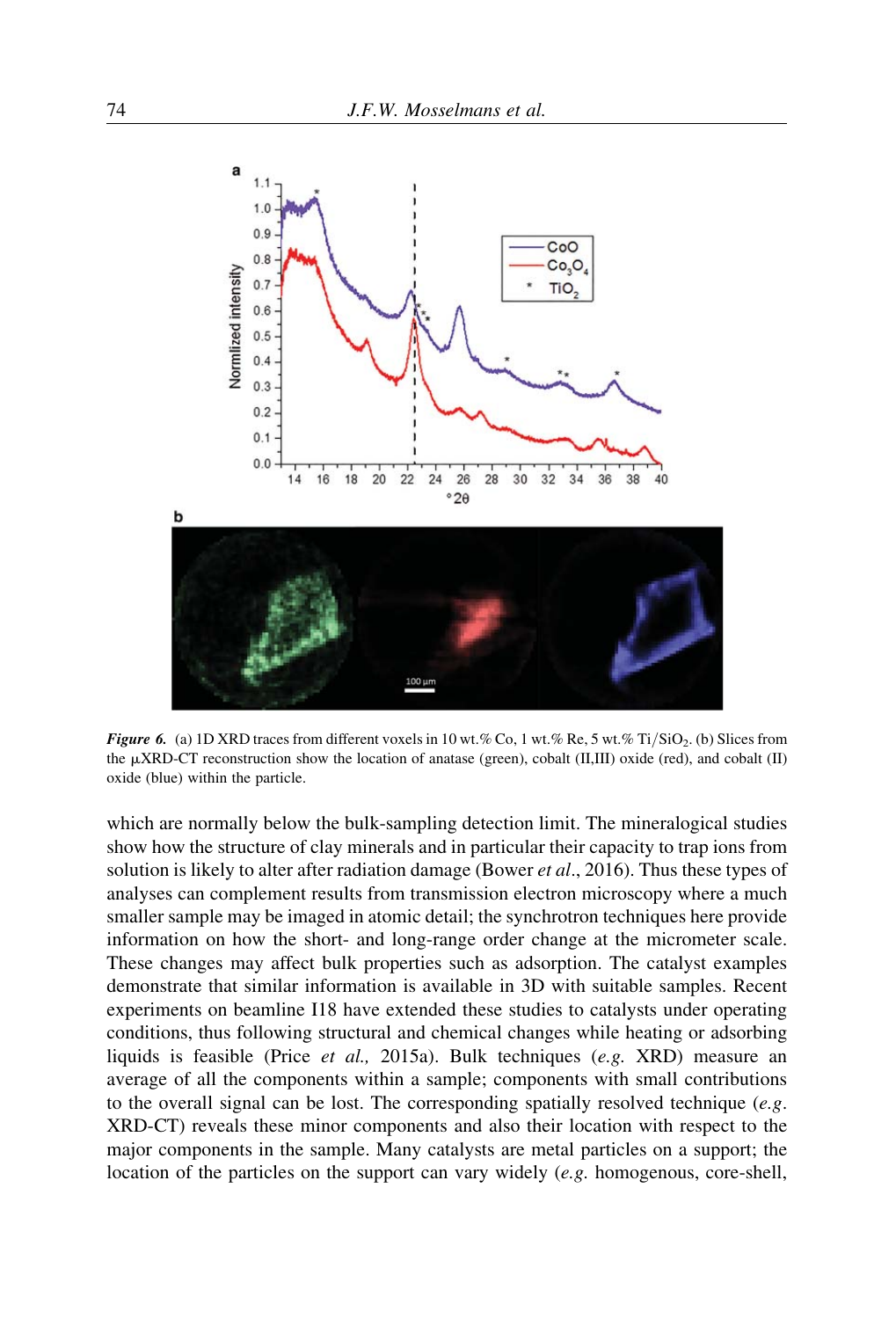

Figure 6. (a) 1D XRD traces from different voxels in 10 wt.% Co, 1 wt.% Re, 5 wt.% Ti/SiO<sub>2</sub>. (b) Slices from the  $\mu$ XRD-CT reconstruction show the location of anatase (green), cobalt (II,III) oxide (red), and cobalt (II) oxide (blue) within the particle.

which are normally below the bulk-sampling detection limit. The mineralogical studies show how the structure of clay minerals and in particular their capacity to trap ions from solution is likely to alter after radiation damage (Bower et al., 2016). Thus these types of analyses can complement results from transmission electron microscopy where a much smaller sample may be imaged in atomic detail; the synchrotron techniques here provide information on how the short- and long-range order change at the micrometer scale. These changes may affect bulk properties such as adsorption. The catalyst examples demonstrate that similar information is available in 3D with suitable samples. Recent experiments on beamline I18 have extended these studies to catalysts under operating conditions, thus following structural and chemical changes while heating or adsorbing liquids is feasible (Price et al., 2015a). Bulk techniques (e.g. XRD) measure an average of all the components within a sample; components with small contributions to the overall signal can be lost. The corresponding spatially resolved technique  $(e.g.$ XRD-CT) reveals these minor components and also their location with respect to the major components in the sample. Many catalysts are metal particles on a support; the location of the particles on the support can vary widely (e.g. homogenous, core-shell,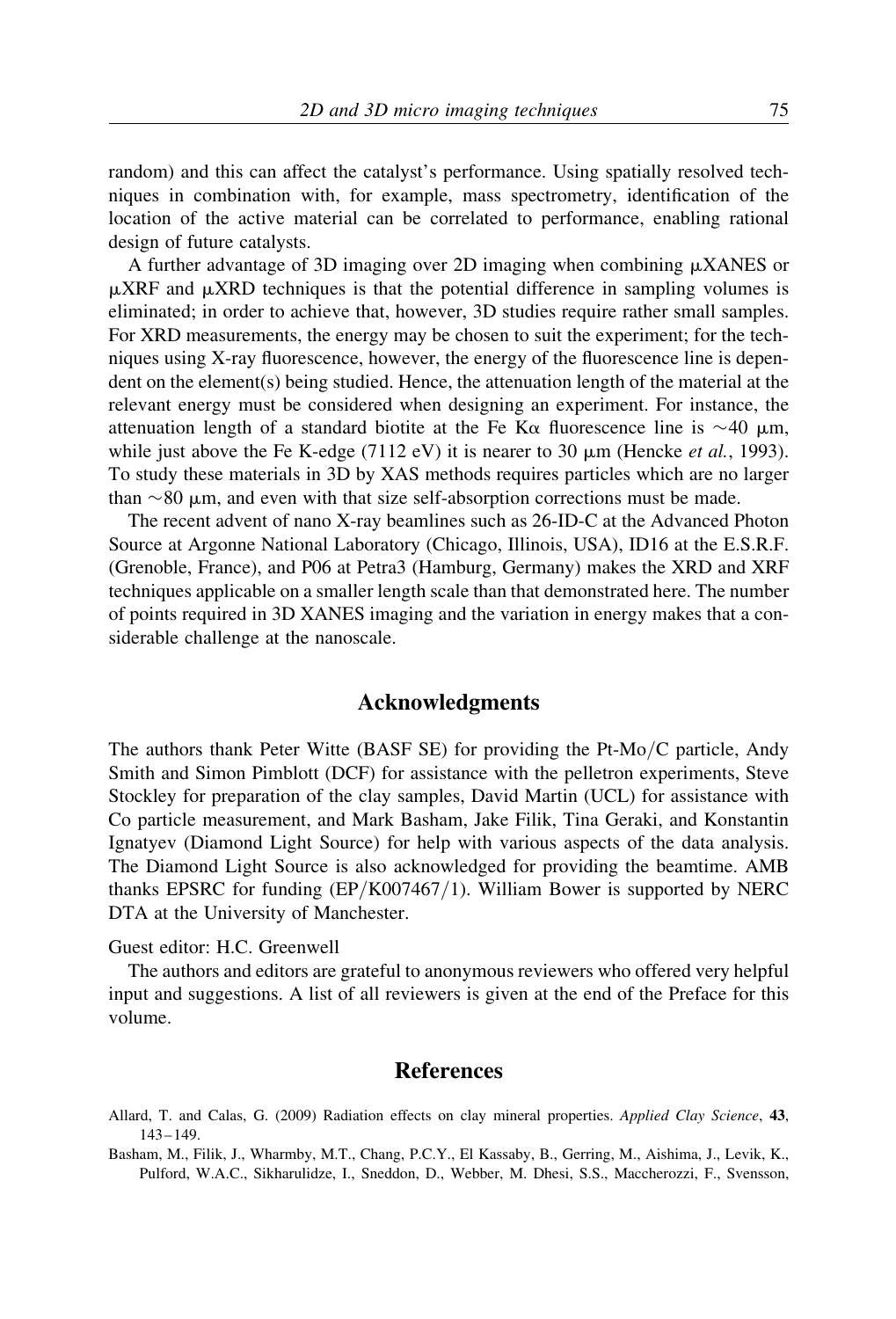random) and this can affect the catalyst's performance. Using spatially resolved techniques in combination with, for example, mass spectrometry, identification of the location of the active material can be correlated to performance, enabling rational design of future catalysts.

A further advantage of 3D imaging over 2D imaging when combining  $\mu$ XANES or  $\mu$ XRF and  $\mu$ XRD techniques is that the potential difference in sampling volumes is eliminated; in order to achieve that, however, 3D studies require rather small samples. For XRD measurements, the energy may be chosen to suit the experiment; for the techniques using X-ray fluorescence, however, the energy of the fluorescence line is dependent on the element(s) being studied. Hence, the attenuation length of the material at the relevant energy must be considered when designing an experiment. For instance, the attenuation length of a standard biotite at the Fe K $\alpha$  fluorescence line is  $\sim$ 40  $\mu$ m, while just above the Fe K-edge (7112 eV) it is nearer to 30  $\mu$ m (Hencke *et al.*, 1993). To study these materials in 3D by XAS methods requires particles which are no larger than  $\sim$  80  $\mu$ m, and even with that size self-absorption corrections must be made.

The recent advent of nano X-ray beamlines such as 26-ID-C at the Advanced Photon Source at Argonne National Laboratory (Chicago, Illinois, USA), ID16 at the E.S.R.F. (Grenoble, France), and P06 at Petra3 (Hamburg, Germany) makes the XRD and XRF techniques applicable on a smaller length scale than that demonstrated here. The number of points required in 3D XANES imaging and the variation in energy makes that a considerable challenge at the nanoscale.

## Acknowledgments

The authors thank Peter Witte (BASF SE) for providing the Pt-Mo/C particle, Andy Smith and Simon Pimblott (DCF) for assistance with the pelletron experiments, Steve Stockley for preparation of the clay samples, David Martin (UCL) for assistance with Co particle measurement, and Mark Basham, Jake Filik, Tina Geraki, and Konstantin Ignatyev (Diamond Light Source) for help with various aspects of the data analysis. The Diamond Light Source is also acknowledged for providing the beamtime. AMB thanks EPSRC for funding (EP/K007467/1). William Bower is supported by NERC DTA at the University of Manchester.

Guest editor: H.C. Greenwell

The authors and editors are grateful to anonymous reviewers who offered very helpful input and suggestions. A list of all reviewers is given at the end of the Preface for this volume.

# References

Basham, M., Filik, J., Wharmby, M.T., Chang, P.C.Y., El Kassaby, B., Gerring, M., Aishima, J., Levik, K., Pulford, W.A.C., Sikharulidze, I., Sneddon, D., Webber, M. Dhesi, S.S., Maccherozzi, F., Svensson,

Allard, T. and Calas, G. (2009) Radiation effects on clay mineral properties. Applied Clay Science, 43, 143– 149.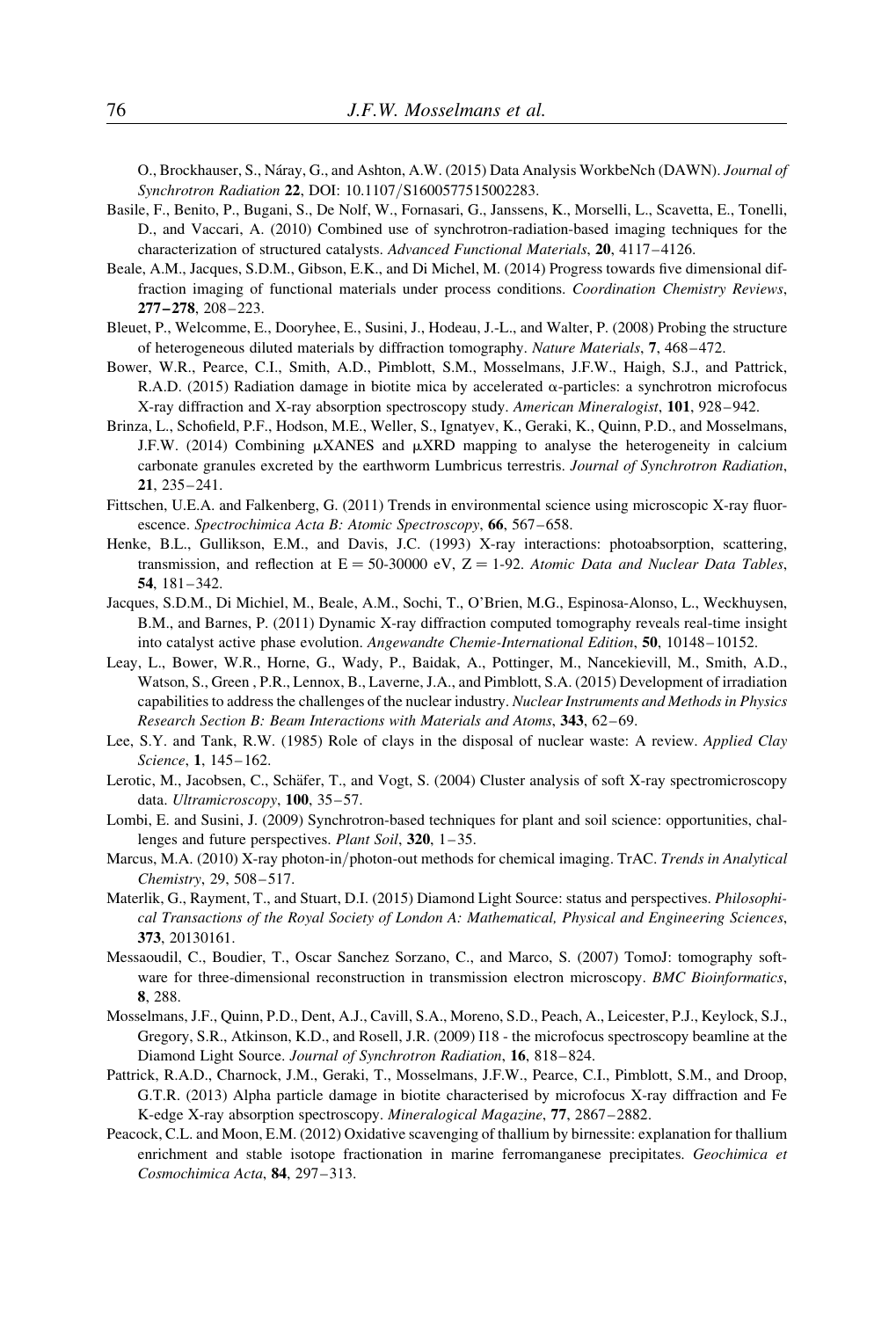O., Brockhauser, S., Náray, G., and Ashton, A.W. (2015) Data Analysis WorkbeNch (DAWN). Journal of Synchrotron Radiation 22, DOI: 10.1107/S1600577515002283.

- Basile, F., Benito, P., Bugani, S., De Nolf, W., Fornasari, G., Janssens, K., Morselli, L., Scavetta, E., Tonelli, D., and Vaccari, A. (2010) Combined use of synchrotron-radiation-based imaging techniques for the characterization of structured catalysts. Advanced Functional Materials, 20, 4117-4126.
- Beale, A.M., Jacques, S.D.M., Gibson, E.K., and Di Michel, M. (2014) Progress towards five dimensional diffraction imaging of functional materials under process conditions. Coordination Chemistry Reviews, 277–278, 208–223.
- Bleuet, P., Welcomme, E., Dooryhee, E., Susini, J., Hodeau, J.-L., and Walter, P. (2008) Probing the structure of heterogeneous diluted materials by diffraction tomography. Nature Materials, 7, 468 –472.
- Bower, W.R., Pearce, C.I., Smith, A.D., Pimblott, S.M., Mosselmans, J.F.W., Haigh, S.J., and Pattrick, R.A.D. (2015) Radiation damage in biotite mica by accelerated  $\alpha$ -particles: a synchrotron microfocus X-ray diffraction and X-ray absorption spectroscopy study. American Mineralogist, 101, 928– 942.
- Brinza, L., Schofield, P.F., Hodson, M.E., Weller, S., Ignatyev, K., Geraki, K., Quinn, P.D., and Mosselmans, J.F.W. (2014) Combining  $\mu$ XANES and  $\mu$ XRD mapping to analyse the heterogeneity in calcium carbonate granules excreted by the earthworm Lumbricus terrestris. Journal of Synchrotron Radiation, 21, 235–241.
- Fittschen, U.E.A. and Falkenberg, G. (2011) Trends in environmental science using microscopic X-ray fluorescence. Spectrochimica Acta B: Atomic Spectroscopy, 66, 567–658.
- Henke, B.L., Gullikson, E.M., and Davis, J.C. (1993) X-ray interactions: photoabsorption, scattering, transmission, and reflection at  $E = 50-30000$  eV,  $Z = 1-92$ . Atomic Data and Nuclear Data Tables, 54, 181–342.
- Jacques, S.D.M., Di Michiel, M., Beale, A.M., Sochi, T., O'Brien, M.G., Espinosa-Alonso, L., Weckhuysen, B.M., and Barnes, P. (2011) Dynamic X-ray diffraction computed tomography reveals real-time insight into catalyst active phase evolution. Angewandte Chemie-International Edition, 50, 10148–10152.
- Leay, L., Bower, W.R., Horne, G., Wady, P., Baidak, A., Pottinger, M., Nancekievill, M., Smith, A.D., Watson, S., Green , P.R., Lennox, B., Laverne, J.A., and Pimblott, S.A. (2015) Development of irradiation capabilities to address the challenges of the nuclear industry. Nuclear Instruments and Methods in Physics Research Section B: Beam Interactions with Materials and Atoms, 343, 62-69.
- Lee, S.Y. and Tank, R.W. (1985) Role of clays in the disposal of nuclear waste: A review. Applied Clay Science, 1, 145– 162.
- Lerotic, M., Jacobsen, C., Schäfer, T., and Vogt, S. (2004) Cluster analysis of soft X-ray spectromicroscopy data. Ultramicroscopy, 100, 35-57.
- Lombi, E. and Susini, J. (2009) Synchrotron-based techniques for plant and soil science: opportunities, challenges and future perspectives. Plant Soil, 320, 1–35.
- Marcus, M.A. (2010) X-ray photon-in/photon-out methods for chemical imaging. TrAC. Trends in Analytical Chemistry, 29, 508-517.
- Materlik, G., Rayment, T., and Stuart, D.I. (2015) Diamond Light Source: status and perspectives. Philosophical Transactions of the Royal Society of London A: Mathematical, Physical and Engineering Sciences, 373, 20130161.
- Messaoudil, C., Boudier, T., Oscar Sanchez Sorzano, C., and Marco, S. (2007) TomoJ: tomography software for three-dimensional reconstruction in transmission electron microscopy. BMC Bioinformatics, 8, 288.
- Mosselmans, J.F., Quinn, P.D., Dent, A.J., Cavill, S.A., Moreno, S.D., Peach, A., Leicester, P.J., Keylock, S.J., Gregory, S.R., Atkinson, K.D., and Rosell, J.R. (2009) I18 - the microfocus spectroscopy beamline at the Diamond Light Source. Journal of Synchrotron Radiation, 16, 818-824.
- Pattrick, R.A.D., Charnock, J.M., Geraki, T., Mosselmans, J.F.W., Pearce, C.I., Pimblott, S.M., and Droop, G.T.R. (2013) Alpha particle damage in biotite characterised by microfocus X-ray diffraction and Fe K-edge X-ray absorption spectroscopy. Mineralogical Magazine, 77, 2867–2882.
- Peacock, C.L. and Moon, E.M. (2012) Oxidative scavenging of thallium by birnessite: explanation for thallium enrichment and stable isotope fractionation in marine ferromanganese precipitates. Geochimica et Cosmochimica Acta, 84, 297–313.